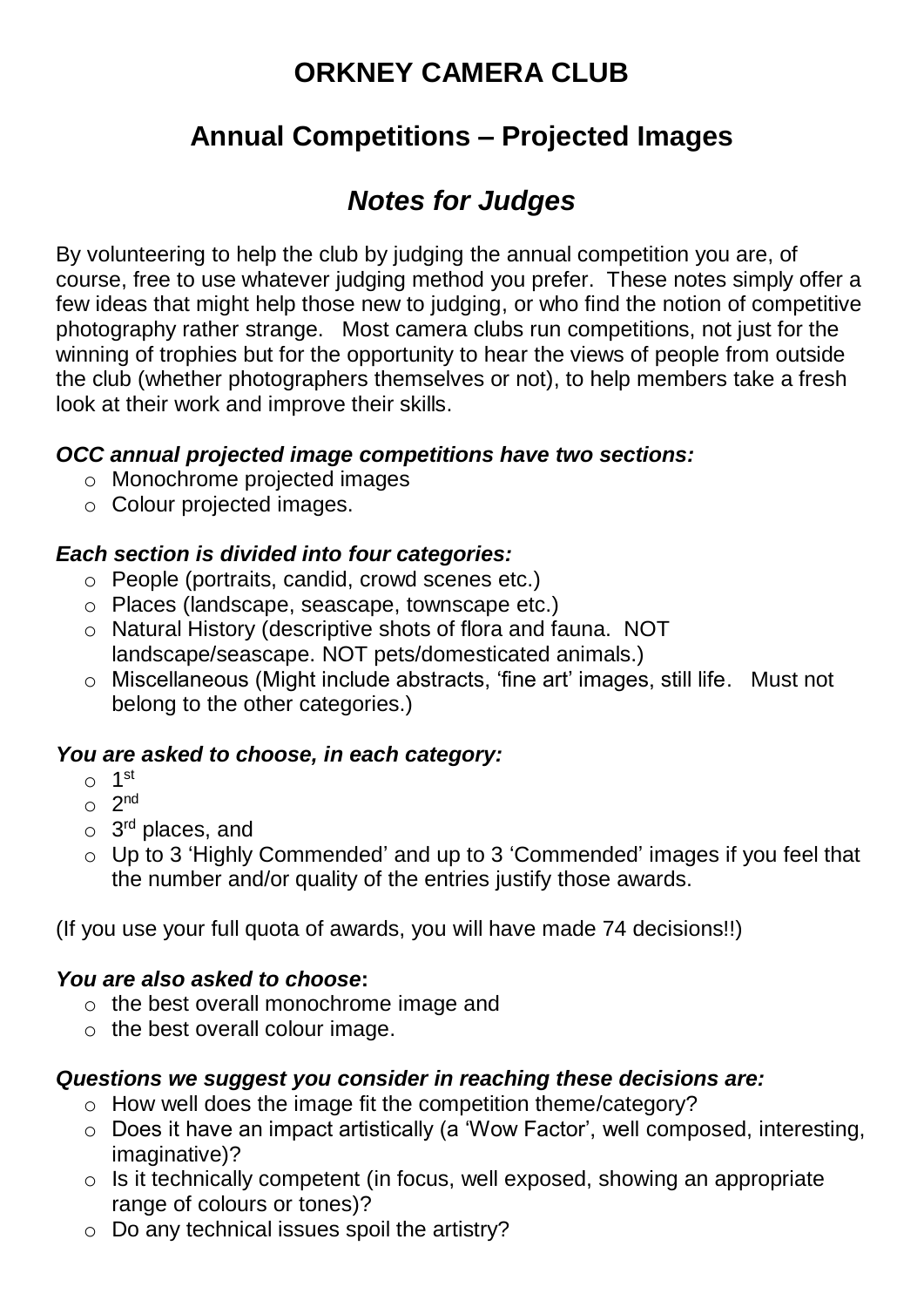# **ORKNEY CAMERA CLUB**

## **Annual Competitions – Projected Images**

# *Notes for Judges*

By volunteering to help the club by judging the annual competition you are, of course, free to use whatever judging method you prefer. These notes simply offer a few ideas that might help those new to judging, or who find the notion of competitive photography rather strange. Most camera clubs run competitions, not just for the winning of trophies but for the opportunity to hear the views of people from outside the club (whether photographers themselves or not), to help members take a fresh look at their work and improve their skills.

## *OCC annual projected image competitions have two sections:*

- o Monochrome projected images
- o Colour projected images.

### *Each section is divided into four categories:*

- o People (portraits, candid, crowd scenes etc.)
- o Places (landscape, seascape, townscape etc.)
- o Natural History (descriptive shots of flora and fauna. NOT landscape/seascape. NOT pets/domesticated animals.)
- o Miscellaneous (Might include abstracts, 'fine art' images, still life. Must not belong to the other categories.)

#### *You are asked to choose, in each category:*

- o 1 st
- $\circ$  2<sup>nd</sup>
- o 3<sup>rd</sup> places, and
- o Up to 3 'Highly Commended' and up to 3 'Commended' images if you feel that the number and/or quality of the entries justify those awards.

(If you use your full quota of awards, you will have made 74 decisions!!)

#### *You are also asked to choose***:**

- o the best overall monochrome image and
- $\circ$  the best overall colour image.

#### *Questions we suggest you consider in reaching these decisions are:*

- o How well does the image fit the competition theme/category?
- o Does it have an impact artistically (a 'Wow Factor', well composed, interesting, imaginative)?
- $\circ$  Is it technically competent (in focus, well exposed, showing an appropriate range of colours or tones)?
- $\circ$  Do any technical issues spoil the artistry?